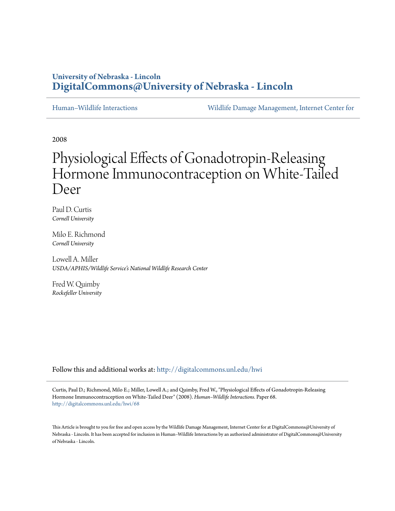# **University of Nebraska - Lincoln [DigitalCommons@University of Nebraska - Lincoln](http://digitalcommons.unl.edu?utm_source=digitalcommons.unl.edu%2Fhwi%2F68&utm_medium=PDF&utm_campaign=PDFCoverPages)**

[Human–Wildlife Interactions](http://digitalcommons.unl.edu/hwi?utm_source=digitalcommons.unl.edu%2Fhwi%2F68&utm_medium=PDF&utm_campaign=PDFCoverPages) [Wildlife Damage Management, Internet Center for](http://digitalcommons.unl.edu/icwdm?utm_source=digitalcommons.unl.edu%2Fhwi%2F68&utm_medium=PDF&utm_campaign=PDFCoverPages)

2008

# Physiological Effects of Gonadotropin-Releasing Hormone Immunocontraception on White-Tailed Deer

Paul D. Curtis *Cornell University*

Milo E. Richmond *Cornell University*

Lowell A. Miller *USDA/APHIS/Wildlife Service's National Wildlife Research Center*

Fred W. Quimby *Rockefeller University*

Follow this and additional works at: [http://digitalcommons.unl.edu/hwi](http://digitalcommons.unl.edu/hwi?utm_source=digitalcommons.unl.edu%2Fhwi%2F68&utm_medium=PDF&utm_campaign=PDFCoverPages)

Curtis, Paul D.; Richmond, Milo E.; Miller, Lowell A.; and Quimby, Fred W., "Physiological Effects of Gonadotropin-Releasing Hormone Immunocontraception on White-Tailed Deer" (2008). *Human–Wildlife Interactions.* Paper 68. [http://digitalcommons.unl.edu/hwi/68](http://digitalcommons.unl.edu/hwi/68?utm_source=digitalcommons.unl.edu%2Fhwi%2F68&utm_medium=PDF&utm_campaign=PDFCoverPages)

This Article is brought to you for free and open access by the Wildlife Damage Management, Internet Center for at DigitalCommons@University of Nebraska - Lincoln. It has been accepted for inclusion in Human–Wildlife Interactions by an authorized administrator of DigitalCommons@University of Nebraska - Lincoln.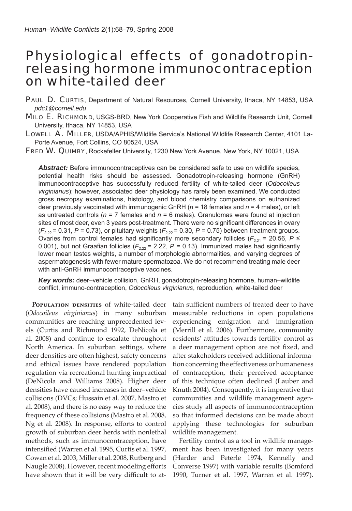# Physiological effects of gonadotropinreleasing hormone immunocontraception on white-tailed deer

PAUL D. CURTIS, Department of Natural Resources, Cornell University, Ithaca, NY 14853, USA *pdc1@cornell.edu*

- MILO E. RICHMOND, USGS-BRD, New York Cooperative Fish and Wildlife Research Unit, Cornell University, Ithaca, NY 14853, USA
- LOWELL A. MILLER, USDA/APHIS/Wildlife Service's National Wildlife Research Center, 4101 La-Porte Avenue, Fort Collins, CO 80524, USA

FRED W. QUIMBY, Rockefeller University, 1230 New York Avenue, New York, NY 10021, USA

**Abstract:** Before immunocontraceptives can be considered safe to use on wildlife species, potential health risks should be assessed. Gonadotropin-releasing hormone (GnRH) immunocontraceptive has successfully reduced fertility of white-tailed deer (*Odocoileus virginianus*); however, associated deer physiology has rarely been examined. We conducted gross necropsy examinations, histology, and blood chemistry comparisons on euthanized deer previously vaccinated with immunogenic GnRH (*n* = 18 females and *n* = 4 males), or left as untreated controls (*n* = 7 females and *n* = 6 males). Granulomas were found at injection sites of most deer, even 3 years post-treatment. There were no significant differences in ovary  $(F_{2,22} = 0.31, P = 0.73)$ , or pituitary weights  $(F_{2,22} = 0.30, P = 0.75)$  between treatment groups. Ovaries from control females had significantly more secondary follicles ( $F_{2,21}$  = 20.56,  $P \le$ 0.001), but not Graafian follicles ( $F_{2,22}$  = 2.22,  $P$  = 0.13). Immunized males had significantly lower mean testes weights, a number of morphologic abnormalities, and varying degrees of aspermatogenesis with fewer mature spermatozoa. We do not recommend treating male deer with anti-GnRH immunocontraceptive vaccines.

*Key words:* deer–vehicle collision, GnRH, gonadotropin-releasing hormone, human–wildlife conflict, immuno-contraception, *Odocoileus virginianus*, reproduction, white-tailed deer

**POPULATION DENSITIES** of white-tailed deer (*Odocoileus virginianus*) in many suburban communities are reaching unprecedented levels (Curtis and Richmond 1992, DeNicola et al. 2008) and continue to escalate throughout North America. In suburban settings, where deer densities are often highest, safety concerns and ethical issues have rendered population regulation via recreational hunting impractical (DeNicola and Williams 2008). Higher deer densities have caused increases in deer–vehicle collisions (DVCs; Hussain et al. 2007, Mastro et al. 2008), and there is no easy way to reduce the frequency of these collisions (Mastro et al. 2008, Ng et al. 2008). In response, efforts to control growth of suburban deer herds with nonlethal methods, such as immunocontraception, have intensified (Warren et al. 1995, Curtis et al. 1997, Cowan et al. 2003, Miller et al. 2008, Rutberg and Naugle 2008). However, recent modeling efforts have shown that it will be very difficult to attain sufficient numbers of treated deer to have measurable reductions in open populations experiencing emigration and immigration (Merrill et al. 2006). Furthermore, community residents' attitudes towards fertility control as a deer management option are not fixed, and after stakeholders received additional information concerning the effectiveness or humaneness of contraception, their perceived acceptance of this technique often declined (Lauber and Knuth 2004). Consequently, it is imperative that communities and wildlife management agencies study all aspects of immunocontraception so that informed decisions can be made about applying these technologies for suburban wildlife management.

Fertility control as a tool in wildlife management has been investigated for many years (Harder and Peterle 1974, Kennelly and Converse 1997) with variable results (Bomford 1990, Turner et al. 1997, Warren et al. 1997).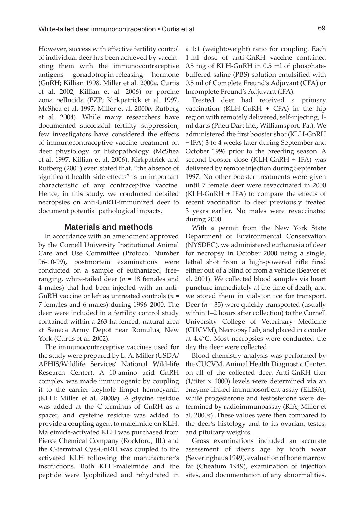However, success with effective fertility control of individual deer has been achieved by vaccinating them with the immunocontraceptive antigens gonadotropin-releasing hormone (GnRH; Killian 1998, Miller et al. 2000*a,* Curtis et al. 2002, Killian et al. 2006) or porcine zona pellucida (PZP; Kirkpatrick et al. 1997, McShea et al. 1997, Miller et al. 2000*b,* Rutberg et al. 2004). While many researchers have documented successful fertility suppression, few investigators have considered the effects of immunocontraceptive vaccine treatment on deer physiology or histopathology (McShea et al. 1997, Killian et al. 2006). Kirkpatrick and Rutberg (2001) even stated that, "the absence of significant health side effects" is an important characteristic of any contraceptive vaccine. Hence, in this study, we conducted detailed necropsies on anti-GnRH-immunized deer to document potential pathological impacts.

# **Materials and methods**

In accordance with an amendment approved by the Cornell University Institutional Animal Care and Use Committee (Protocol Number 96-10-99), postmortem examinations were conducted on a sample of euthanized, freeranging, white-tailed deer (*n* = 18 females and 4 males) that had been injected with an anti-GnRH vaccine or left as untreated controls (*n* = 7 females and 6 males) during 1996–2000. The deer were included in a fertility control study contained within a 263-ha fenced, natural area at Seneca Army Depot near Romulus, New York (Curtis et al. 2002).

The immunocontraceptive vaccines used for the study were prepared by L. A. Miller (USDA/ APHIS/Wildlife Services' National Wild-life Research Center). A 10-amino acid GnRH complex was made immunogenic by coupling it to the carrier keyhole limpet hemocyanin (KLH; Miller et al. 2000*a*). A glycine residue was added at the C-terminus of GnRH as a spacer, and cysteine residue was added to provide a coupling agent to maleimide on KLH. Maleimide-activated KLH was purchased from Pierce Chemical Company (Rockford, Ill.) and the C-terminal Cys-GnRH was coupled to the activated KLH following the manufacturer's instructions. Both KLH-maleimide and the peptide were lyophilized and rehydrated in a 1:1 (weight:weight) ratio for coupling. Each 1-ml dose of anti-GnRH vaccine contained 0.5 mg of KLH-GnRH in 0.5 ml of phosphatebuffered saline (PBS) solution emulsified with 0.5 ml of Complete Freund's Adjuvant (CFA) or Incomplete Freund's Adjuvant (IFA).

Treated deer had received a primary vaccination (KLH-GnRH + CFA) in the hip region with remotely delivered, self-injecting, 1 ml darts (Pneu Dart Inc., Williamsport, Pa.). We administered the first booster shot (KLH-GnRH + IFA) 3 to 4 weeks later during September and October 1996 prior to the breeding season. A second booster dose (KLH-GnRH + IFA) was delivered by remote injection during September 1997. No other booster treatments were given until 7 female deer were revaccinated in 2000  $(KLH-GnRH + IFA)$  to compare the effects of recent vaccination to deer previously treated 3 years earlier. No males were revaccinated during 2000.

With a permit from the New York State Department of Environmental Conservation (NYSDEC), we administered euthanasia of deer for necropsy in October 2000 using a single, lethal shot from a high-powered rifle fired either out of a blind or from a vehicle (Beaver et al. 2001). We collected blood samples via heart puncture immediately at the time of death, and we stored them in vials on ice for transport. Deer ( $n = 35$ ) were quickly transported (usually within 1–2 hours after collection) to the Cornell University College of Veterinary Medicine (CUCVM), Necropsy Lab, and placed in a cooler at 4.4°C. Most necropsies were conducted the day the deer were collected.

Blood chemistry analysis was performed by the CUCVM, Animal Health Diagnostic Center, on all of the collected deer. Anti-GnRH titer (1/titer x 1000) levels were determined via an enzyme-linked immunosorbent assay (ELISA), while progesterone and testosterone were determined by radioimmunoassay (RIA; Miller et al. 2000*a*). These values were then compared to the deer's histology and to its ovarian, testes, and pituitary weights.

Gross examinations included an accurate assessment of deer's age by tooth wear (Severinghaus 1949), evaluation of bone marrow fat (Cheatum 1949), examination of injection sites, and documentation of any abnormalities.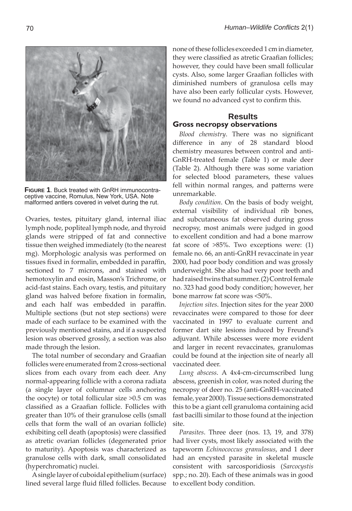they were classified as atretic Graafian follicles; however, they could have been small follicular cysts. Also, some larger Graafian follicles with diminished numbers of granulosa cells may have also been early follicular cysts. However, we found no advanced cyst to confirm this. **Results Gross necropsy observations**  Blood chemistry. There was no significant

difference in any of 28 standard blood chemistry measures between control and anti-GnRH-treated female (Table 1) or male deer (Table 2). Although there was some variation for selected blood parameters, these values fell within normal ranges, and patterns were unremarkable.

none of these follicles exceeded 1 cm in diameter,

*Body condition*. On the basis of body weight, external visibility of individual rib bones, and subcutaneous fat observed during gross necropsy, most animals were judged in good to excellent condition and had a bone marrow fat score of >85%. Two exceptions were: (1) female no. 66, an anti-GnRH revaccinate in year 2000, had poor body condition and was grossly underweight. She also had very poor teeth and had raised twins that summer. (2) Control female no. 323 had good body condition; however, her bone marrow fat score was <50%.

*Injection sites*. Injection sites for the year 2000 revaccinates were compared to those for deer vaccinated in 1997 to evaluate current and former dart site lesions induced by Freund's adjuvant. While abscesses were more evident and larger in recent revaccinates, granulomas could be found at the injection site of nearly all vaccinated deer.

*Lung abscess*. A 4x4-cm-circumscribed lung abscess, greenish in color, was noted during the necropsy of deer no. 25 (anti-GnRH-vaccinated female, year 2000). Tissue sections demonstrated this to be a giant cell granuloma containing acid fast bacilli similar to those found at the injection site.

*Parasites*. Three deer (nos. 13, 19, and 378) had liver cysts, most likely associated with the tapeworm *Echinococcus granulosus*, and 1 deer had an encysted parasite in skeletal muscle consistent with sarcosporidiosis (*Sarcocystis*  spp.; no. 20). Each of these animals was in good to excellent body condition.

**FIGURE 1**. Buck treated with GnRH immunocontraceptive vaccine, Romulus, New York, USA. Note malformed antlers covered in velvet during the rut.

Ovaries, testes, pituitary gland, internal iliac

lymph node, popliteal lymph node, and thyroid glands were stripped of fat and connective tissue then weighed immediately (to the nearest mg). Morphologic analysis was performed on tissues fixed in formalin, embedded in paraffin, sectioned to 7 microns, and stained with hemotoxylin and eosin, Masson's Trichrome, or acid-fast stains. Each ovary, testis, and pituitary gland was halved before fixation in formalin, and each half was embedded in paraffin. Multiple sections (but not step sections) were made of each surface to be examined with the previously mentioned stains, and if a suspected lesion was observed grossly, a section was also made through the lesion. The total number of secondary and Graafian

follicles were enumerated from 2 cross-sectional slices from each ovary from each deer. Any normal-appearing follicle with a corona radiata (a single layer of columnar cells anchoring the oocyte) or total follicular size >0.5 cm was classified as a Graafian follicle. Follicles with greater than 10% of their granulose cells (small cells that form the wall of an ovarian follicle) exhibiting cell death (apoptosis) were classified as atretic ovarian follicles (degenerated prior to maturity). Apoptosis was characterized as granulose cells with dark, small consolidated (hyperchromatic) nuclei.

A single layer of cuboidal epithelium (surface) lined several large fluid filled follicles. Because

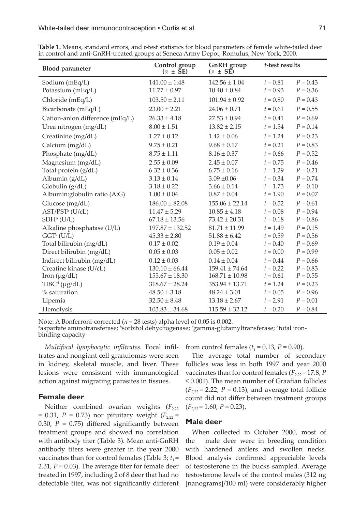| <b>Blood parameter</b>          | Control group<br>$(\bar{x} \pm \bar{S}E)$ | <b>GnRH</b> group<br>$(\bar{x} \pm S\bar{E})$ | t-test results |            |
|---------------------------------|-------------------------------------------|-----------------------------------------------|----------------|------------|
| Sodium (mEq/L)                  | $141.00 \pm 1.48$                         | $142.56 \pm 1.04$                             | $t = 0.81$     | $P = 0.43$ |
| Potassium (mEq/L)               | $11.77 \pm 0.97$                          | $10.40 \pm 0.84$                              | $t = 0.93$     | $P = 0.36$ |
| Chloride (mEq/L)                | $103.50 \pm 2.11$                         | $101.94 \pm 0.92$                             | $t = 0.80$     | $P = 0.43$ |
| Bicarbonate (mEq/L)             | $23.00 \pm 2.21$                          | $24.06 \pm 0.71$                              | $t = 0.61$     | $P = 0.55$ |
| Cation-anion difference (mEq/L) | $26.33 \pm 4.18$                          | $27.53 \pm 0.94$                              | $t = 0.41$     | $P = 0.69$ |
| Urea nitrogen (mg/dL)           | $8.00 \pm 1.51$                           | $13.82 \pm 2.15$                              | $t = 1.54$     | $P = 0.14$ |
| Creatinine (mg/dL)              | $1.27 \pm 0.12$                           | $1.42 \pm 0.06$                               | $t = 1.24$     | $P = 0.23$ |
| Calcium (mg/dL)                 | $9.75 \pm 0.21$                           | $9.68 \pm 0.17$                               | $t = 0.21$     | $P = 0.83$ |
| Phosphate (mg/dL)               | $8.75 \pm 1.11$                           | $8.16 \pm 0.37$                               | $t = 0.66$     | $P = 0.52$ |
| Magnesium (mg/dL)               | $2.55 \pm 0.09$                           | $2.45 \pm 0.07$                               | $t = 0.75$     | $P = 0.46$ |
| Total protein (g/dL)            | $6.32 \pm 0.36$                           | $6.75 \pm 0.16$                               | $t = 1.29$     | $P = 0.21$ |
| Albumin (g/dL)                  | $3.13 \pm 0.14$                           | $3.09 + 0.06$                                 | $t = 0.34$     | $P = 0.74$ |
| Globulin (g/dL)                 | $3.18 \pm 0.22$                           | $3.66 \pm 0.14$                               | $t = 1.73$     | $P = 0.10$ |
| Albumin: globulin ratio (A:G)   | $1.00 \pm 0.04$                           | $0.87 \pm 0.04$                               | $t = 1.90$     | $P = 0.07$ |
| Glucose (mg/dL)                 | $186.00 \pm 82.08$                        | $155.06 \pm 22.14$                            | $t = 0.52$     | $P = 0.61$ |
| AST/PST <sup>a</sup> (U/cL)     | $11.47 \pm 5.29$                          | $10.85 \pm 4.18$                              | $t = 0.08$     | $P = 0.94$ |
| $SDHb$ (U/L)                    | $67.18 \pm 13.56$                         | $73.42 \pm 20.31$                             | $t = 0.18$     | $P = 0.86$ |
| Alkaline phosphatase (U/L)      | $197.87 \pm 132.52$                       | $81.71 \pm 11.99$                             | $t = 1.49$     | $P = 0.15$ |
| $GGT^c$ (U/L)                   | $45.33 \pm 2.80$                          | $51.88 \pm 6.42$                              | $t = 0.59$     | $P = 0.56$ |
| Total bilirubin (mg/dL)         | $0.17 \pm 0.02$                           | $0.19 \pm 0.04$                               | $t = 0.40$     | $P = 0.69$ |
| Direct bilirubin (mg/dL)        | $0.05 \pm 0.03$                           | $0.05 \pm 0.02$                               | $t = 0.00$     | $P = 0.99$ |
| Indirect bilirubin (mg/dL)      | $0.12 \pm 0.03$                           | $0.14 \pm 0.04$                               | $t = 0.44$     | $P = 0.66$ |
| Creatine kinase (U/cL)          | $130.10 \pm 66.44$                        | $159.41 \pm 74.64$                            | $t = 0.22$     | $P = 0.83$ |
| Iron $(\mu g/dL)$               | $155.67 \pm 18.30$                        | $168.71 \pm 10.98$                            | $t = 0.61$     | $P = 0.55$ |
| $T\text{IBC}^d$ (µg/dL)         | $318.67 \pm 28.24$                        | $353.94 \pm 13.71$                            | $t = 1.24$     | $P = 0.23$ |
| % saturation                    | $48.50 \pm 3.18$                          | $48.24 \pm 3.01$                              | $t = 0.05$     | $P = 0.96$ |
| Lipemia                         | $32.50 \pm 8.48$                          | $13.18 \pm 2.67$                              | $t = 2.91$     | $P = 0.01$ |
| Hemolysis                       | $103.83 \pm 34.68$                        | $115.59 \pm 32.12$                            | $t = 0.20$     | $P = 0.84$ |

**Table 1.** Means, standard errors, and *t*-test statistics for blood parameters of female white-tailed deer in control and anti-GnRH-treated groups at Seneca Army Depot, Romulus, New York, 2000.

Note: A Bonferroni-corrected ( $n = 28$  tests) alpha level of 0.05 is 0.002. aspartate aminotransferase; <sup>b</sup>sorbitol dehydrogenase; <sup>c</sup>gamma-glutamyltransferase; <sup>a</sup>total ironbinding capacity

*Multifocal lymphocytic infiltrates*. Focal infiltrates and nongiant cell granulomas were seen in kidney, skeletal muscle, and liver. These lesions were consistent with immunological action against migrating parasites in tissues.

### **Female deer**

Neither combined ovarian weights  $(F_{2,22})$ = 0.31, *P* = 0.73) nor pituitary weight  $(F_{2,22} =$ 0.30,  $P = 0.75$ ) differed significantly between treatment groups and showed no correlation with antibody titer (Table 3). Mean anti-GnRH antibody titers were greater in the year 2000 vaccinates than for control females (Table 3;  $t_1$  = 2.31, *P* = 0.03). The average titer for female deer treated in 1997, including 2 of 8 deer that had no detectable titer, was not significantly different from control females  $(t_1 = 0.13, P = 0.90)$ .

The average total number of secondary follicles was less in both 1997 and year 2000 vaccinates than for control females ( $F_{2,22}$  = 17.8, *P*  $\leq$  0.001). The mean number of Graafian follicles  $(F_{2,22} = 2.22, P = 0.13)$ , and average total follicle count did not differ between treatment groups  $(F_{2,22} = 1.60, P = 0.23).$ 

## **Male deer**

When collected in October 2000, most of the male deer were in breeding condition with hardened antlers and swollen necks. Blood analysis confirmed appreciable levels of testosterone in the bucks sampled. Average testosterone levels of the control males (312 ng [nanograms]/100 ml) were considerably higher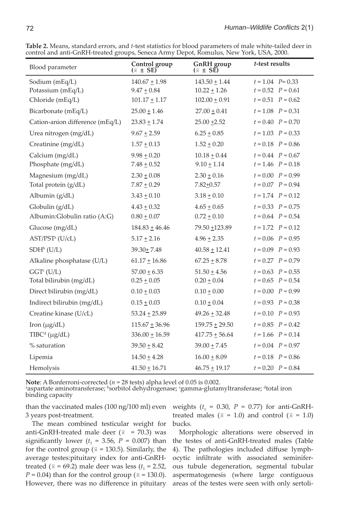| Blood parameter                           | Control group<br>GnRH group<br>$(\bar{x} \pm SE)$<br>$(\bar{x} \pm S\vec{E})$ |                                       | t-test results                                 |  |
|-------------------------------------------|-------------------------------------------------------------------------------|---------------------------------------|------------------------------------------------|--|
| Sodium (mEq/L)<br>Potassium (mEq/L)       | $140.67 \pm 1.98$<br>$9.47 \pm 0.84$                                          | $143.50 \pm 1.44$<br>$10.22 \pm 1.26$ | $t = 1.04$ $P = 0.33$<br>$t = 0.52$ $P = 0.61$ |  |
| Chloride (mEq/L)                          | $101.17 \pm 1.17$                                                             | $102.00 \pm 0.91$                     | $t = 0.51$ $P = 0.62$                          |  |
| Bicarbonate (mEq/L)                       | $25.00 \pm 1.46$                                                              | $27.00 \pm 0.41$                      | $t = 1.08$ $P = 0.31$                          |  |
| Cation-anion difference (mEq/L)           | $23.83 \pm 1.74$                                                              | $25.00 + 2.52$                        | $t = 0.40$ $P = 0.70$                          |  |
| Urea nitrogen (mg/dL)                     | $9.67 \pm 2.59$                                                               | $6.25 \pm 0.85$                       | $t = 1.03$ $P = 0.33$                          |  |
| Creatinine (mg/dL)                        | $1.57 + 0.13$                                                                 | $1.52 + 0.20$                         | $t = 0.18$ $P = 0.86$                          |  |
| Calcium (mg/dL)<br>Phosphate (mg/dL)      | $9.98 \pm 0.20$<br>$7.48 \pm 0.52$                                            | $10.18 + 0.44$<br>$9.10 \pm 1.14$     | $t = 0.44$ $P = 0.67$<br>$t = 1.46$ $P = 0.18$ |  |
| Magnesium (mg/dL)<br>Total protein (g/dL) | $2.30 \pm 0.08$<br>$7.87 \pm 0.29$                                            | $2.30 \pm 0.16$<br>$7.82 \pm 0.57$    | $t = 0.00$ $P = 0.99$<br>$t = 0.07$ $P = 0.94$ |  |
| Albumin (g/dL)                            | $3.43 \pm 0.10$                                                               | $3.18 \pm 0.10$                       | $t = 1.74$ $P = 0.12$                          |  |
| Globulin $(g/dL)$                         | $4.43 \pm 0.32$                                                               | $4.65 \pm 0.65$                       | $t = 0.33$ $P = 0.75$                          |  |
| Albumin: Globulin ratio (A:G)             | $0.80 \pm 0.07$                                                               | $0.72 \pm 0.10$                       | $t = 0.64$ $P = 0.54$                          |  |
| Glucose (mg/dL)                           | $184.83 \pm 46.46$                                                            | 79.50 ±123.89                         | $t = 1.72$ $P = 0.12$                          |  |
| AST/PST <sup>a</sup> (U/cL)               | $5.17 + 2.16$                                                                 | $4.96 + 2.35$                         | $t = 0.06$ $P = 0.95$                          |  |
| $SDHb$ (U/L)                              | $39.30 \pm 7.48$                                                              | $40.58 \pm 12.41$                     | $t = 0.09$ $P = 0.93$                          |  |
| Alkaline phosphatase (U/L)                | $61.17 \pm 16.86$                                                             | $67.25 \pm 8.78$                      | $t = 0.27$ $P = 0.79$                          |  |
| $GGT^c$ (U/L)<br>Total bilirubin (mg/dL)  | $57.00 \pm 6.35$<br>$0.25 \pm 0.05$                                           | $51.50 \pm 4.56$<br>$0.20 \pm 0.04$   | $t = 0.63$ $P = 0.55$<br>$t = 0.65$ $P = 0.54$ |  |
| Direct bilirubin (mg/dL)                  | $0.10 \pm 0.03$                                                               | $0.10 \pm 0.00$                       | $t = 0.00$ $P = 0.99$                          |  |
| Indirect bilirubin (mg/dL)                | $0.15 \pm 0.03$                                                               | $0.10 \pm 0.04$                       | $t = 0.93$ $P = 0.38$                          |  |
| Creatine kinase (U/cL)                    | $53.24 \pm 25.89$                                                             | $49.26 \pm 32.48$                     | $t = 0.10$ $P = 0.93$                          |  |
| Iron $(\mu g/dL)$                         | $115.67 \pm 36.96$                                                            | $159.75 \pm 29.50$                    | $t = 0.85$ $P = 0.42$                          |  |
| $T\text{IBC}^d$ (µg/dL)                   | $336.00 \pm 16.59$                                                            | $417.75 \pm 56.64$                    | $t = 1.66$ $P = 0.14$                          |  |
| % saturation                              | $39.50 \pm 8.42$                                                              | $39.00 \pm 7.45$                      | $t = 0.04$ $P = 0.97$                          |  |
| Lipemia                                   | $14.50 \pm 4.28$                                                              | $16.00 \pm 8.09$                      | $t = 0.18$ $P = 0.86$                          |  |
| Hemolysis                                 | $41.50 \pm 16.71$                                                             | $46.75 \pm 19.17$                     | $t = 0.20$ $P = 0.84$                          |  |

**Table 2.** Means, standard errors, and *t*-test statistics for blood parameters of male white-tailed deer in control and anti-GnRH-treated groups, Seneca Army Depot, Romulus, New York, USA, 2000.

**Note**: A Bonferroni-corrected ( $n = 28$  tests) alpha level of 0.05 is 0.002.

aspartate aminotransferase; <sup>b</sup>sorbitol dehydrogenase; <sup>c</sup>gamma-glutamyltransferase; <sup>a</sup>total iron binding capacity

than the vaccinated males (100 ng/100 ml) even 3 years post-treatment.

The mean combined testicular weight for anti-GnRH-treated male deer ( $\bar{x}$  = 70.3) was significantly lower  $(t_1 = 3.56, P = 0.007)$  than for the control group ( $\bar{x}$  = 130.5). Similarly, the average testes:pituitary index for anti-GnRHtreated ( $\bar{x}$  = 69.2) male deer was less ( $t_1$  = 2.52,  $P = 0.04$ ) than for the control group ( $\bar{x} = 130.0$ ). However, there was no difference in pituitary

weights ( $t_1$  = 0.30,  $P = 0.77$ ) for anti-GnRHtreated males ( $\bar{x}$  = 1.0) and control ( $\bar{x}$  = 1.0) bucks.

Morphologic alterations were observed in the testes of anti-GnRH-treated males (Table 4). The pathologies included diffuse lymphocytic infiltrate with associated seminiferous tubule degeneration, segmental tubular aspermatogenesis (where large contiguous areas of the testes were seen with only sertoli-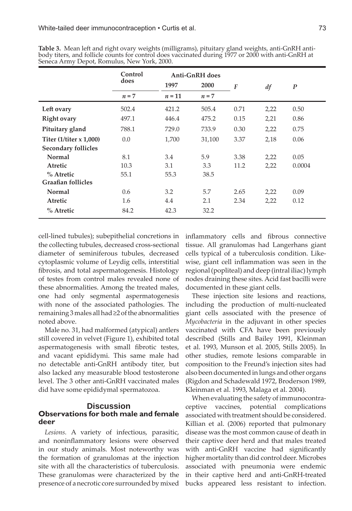|                             | Control | <b>Anti-GnRH</b> does |         |                  |      |                  |
|-----------------------------|---------|-----------------------|---------|------------------|------|------------------|
|                             | does    | 1997                  | 2000    | $\boldsymbol{F}$ | df   | $\boldsymbol{P}$ |
|                             | $n = 7$ | $n = 11$              | $n = 7$ |                  |      |                  |
| Left ovary                  | 502.4   | 421.2                 | 505.4   | 0.71             | 2,22 | 0.50             |
| <b>Right ovary</b>          | 497.1   | 446.4                 | 475.2   | 0.15             | 2,21 | 0.86             |
| Pituitary gland             | 788.1   | 729.0                 | 733.9   | 0.30             | 2,22 | 0.75             |
| Titer $(1/t$ iter $x 1,000$ | 0.0     | 1,700                 | 31,100  | 3.37             | 2,18 | 0.06             |
| <b>Secondary follicles</b>  |         |                       |         |                  |      |                  |
| Normal                      | 8.1     | 3.4                   | 5.9     | 3.38             | 2,22 | 0.05             |
| Atretic                     | 10.3    | 3.1                   | 3.3     | 11.2             | 2,22 | 0.0004           |
| $%$ Atretic                 | 55.1    | 55.3                  | 38.5    |                  |      |                  |
| <b>Graafian follicles</b>   |         |                       |         |                  |      |                  |
| <b>Normal</b>               | 0.6     | 3.2                   | 5.7     | 2.65             | 2,22 | 0.09             |
| Atretic                     | 1.6     | 4.4                   | 2.1     | 2.34             | 2,22 | 0.12             |
| $%$ Atretic                 | 84.2    | 42.3                  | 32.2    |                  |      |                  |

**Table 3.** Mean left and right ovary weights (milligrams), pituitary gland weights, anti-GnRH antibody titers, and follicle counts for control does vaccinated during 1977 or 2000 with anti-GnRH at Seneca Army Depot, Romulus, New York, 2000.

cell-lined tubules); subepithelial concretions in the collecting tubules, decreased cross-sectional diameter of seminiferous tubules, decreased cytoplasmic volume of Leydig cells, interstitial fibrosis, and total aspermatogenesis. Histology of testes from control males revealed none of these abnormalities. Among the treated males, one had only segmental aspermatogenesis with none of the associated pathologies. The remaining 3 males all had ≥2 of the abnormalities noted above.

Male no. 31, had malformed (atypical) antlers still covered in velvet (Figure 1), exhibited total aspermatogenesis with small fibrotic testes, and vacant epididymi. This same male had no detectable anti-GnRH antibody titer, but also lacked any measurable blood testosterone level. The 3 other anti-GnRH vaccinated males did have some epididymal spermatozoa.

# **Discussion**

# **Observations for both male and female deer**

*Lesions.* A variety of infectious, parasitic, and noninflammatory lesions were observed in our study animals. Most noteworthy was the formation of granulomas at the injection site with all the characteristics of tuberculosis. These granulomas were characterized by the presence of a necrotic core surrounded by mixed inflammatory cells and fibrous connective tissue. All granulomas had Langerhans giant cells typical of a tuberculosis condition. Likewise, giant cell inflammation was seen in the regional (popliteal) and deep (intral iliac) lymph nodes draining these sites. Acid fast bacilli were documented in these giant cells.

These injection site lesions and reactions, including the production of multi-nucleated giant cells associated with the presence of *Mycobacteria* in the adjuvant in other species vaccinated with CFA have been previously described (Stills and Bailey 1991, Kleinman et al. 1993, Munson et al. 2005, Stills 2005). In other studies, remote lesions comparable in composition to the Freund's injection sites had also been documented in lungs and other organs (Rigdon and Schadewald 1972, Broderson 1989, Kleinman et al. 1993, Malaga et al. 2004).

When evaluating the safety of immunocontraceptive vaccines, potential complications associated with treatment should be considered. Killian et al. (2006) reported that pulmonary disease was the most common cause of death in their captive deer herd and that males treated with anti-GnRH vaccine had significantly higher mortality than did control deer. Microbes associated with pneumonia were endemic in their captive herd and anti-GnRH-treated bucks appeared less resistant to infection.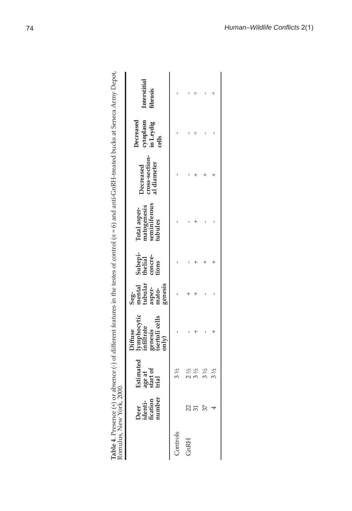|                                   | Interstitial<br>ibrosis                                                           |          |            |                |                |
|-----------------------------------|-----------------------------------------------------------------------------------|----------|------------|----------------|----------------|
|                                   | Decreased<br>cytoplasm<br>in Leydig<br>cells                                      |          |            |                |                |
|                                   | Decreased<br>cross-section-<br>al diameter                                        |          |            |                |                |
|                                   | Total asper-<br>matogenesis<br>seminiferous<br>tubules                            |          |            |                |                |
|                                   | Subepi-<br>thelial<br>concre-<br>tions                                            |          |            |                |                |
|                                   | Seg-<br>mental<br>tubular<br>tubu-<br>asper-<br>mato-<br>genesis                  |          |            |                |                |
|                                   | lymphocytic<br>infiltrate<br>genesis<br>(sertoli cells<br>only)<br><b>Diffuse</b> |          |            |                |                |
|                                   | Estimated<br>age at<br>start of<br><b>trial</b>                                   | 3½       | 2 ½<br>3 ½ | $3\frac{1}{2}$ | $3\frac{1}{2}$ |
| NUMBER 1988 1998 1998 $\mu$ 2000. | Deer<br>identi-<br>fication<br>number                                             |          |            | 37             |                |
|                                   |                                                                                   | Controls | GnRH       |                |                |

| ļ<br>I<br>i                                    |  |
|------------------------------------------------|--|
| こくらくりょう                                        |  |
|                                                |  |
|                                                |  |
|                                                |  |
| reart-HSMC.                                    |  |
|                                                |  |
| "The the testes of control $(n = 6)$ and anti- |  |
|                                                |  |
|                                                |  |
|                                                |  |
|                                                |  |
|                                                |  |
| i<br>---------                                 |  |
|                                                |  |
| hennce ( <sub>=</sub> ) n<br>j                 |  |
| j<br>$\overline{c}$                            |  |
| j<br>Č<br>Į<br>ĺ                               |  |
|                                                |  |
| ļ                                              |  |
|                                                |  |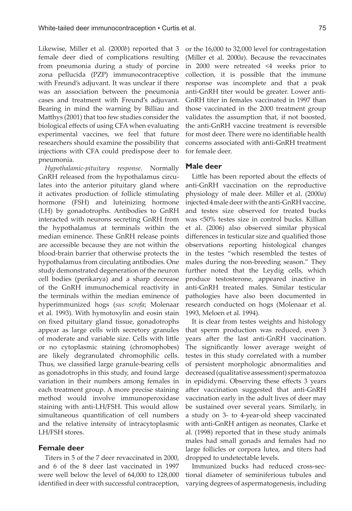Likewise, Miller et al. (2000*b*) reported that 3 female deer died of complications resulting from pneumonia during a study of porcine zona pellucida (PZP) immunocontraceptive with Freund's adjuvant. It was unclear if there was an association between the pneumonia cases and treatment with Freund's adjuvant. Bearing in mind the warning by Billiau and Matthys (2001) that too few studies consider the biological effects of using CFA when evaluating experimental vaccines, we feel that future researchers should examine the possibility that injections with CFA could predispose deer to pneumonia.

*Hypothalamic-pituitary response*. Normally GnRH released from the hypothalamus circulates into the anterior pituitary gland where it activates production of follicle stimulating hormone (FSH) and luteinizing hormone (LH) by gonadotrophs. Antibodies to GnRH interacted with neurons secreting GnRH from the hypothalamus at terminals within the median eminence. These GnRH release points are accessible because they are not within the blood-brain barrier that otherwise protects the hypothalamus from circulating antibodies. One study demonstrated degeneration of the neuron cell bodies (perikarya) and a sharp decrease of the GnRH immunochemical reactivity in the terminals within the median eminence of hyperimmunized hogs (*sus scrofa*; Molenaar et al. 1993). With hymotoxylin and eosin stain on fixed pituitary gland tissue, gonadotrophs appear as large cells with secretory granules of moderate and variable size. Cells with little or no cytoplasmic staining (chromophobes) are likely degranulated chromophilic cells. Thus, we classified large granule-bearing cells as gonadotrophs in this study, and found large variation in their numbers among females in each treatment group. A more precise staining method would involve immunoperoxidase staining with anti-LH/FSH. This would allow simultaneous quantification of cell numbers and the relative intensity of intracytoplasmic LH/FSH stores.

# **Female deer**

Titers in 5 of the 7 deer revaccinated in 2000, and 6 of the 8 deer last vaccinated in 1997 were well below the level of 64,000 to 128,000 identified in deer with successful contraception,

or the 16,000 to 32,000 level for contragestation (Miller et al. 2000*a*). Because the revaccinates in 2000 were retreated <4 weeks prior to collection, it is possible that the immune response was incomplete and that a peak anti-GnRH titer would be greater. Lower anti-GnRH titer in females vaccinated in 1997 than those vaccinated in the 2000 treatment group validates the assumption that, if not boosted, the anti-GnRH vaccine treatment is reversible for most deer. There were no identifiable health concerns associated with anti-GnRH treatment for female deer.

#### **Male deer**

Little has been reported about the effects of anti-GnRH vaccination on the reproductive physiology of male deer. Miller et al. (2000*a*) injected 4 male deer with the anti-GnRH vaccine, and testes size observed for treated bucks was <50% testes size in control bucks. Killian et al. (2006) also observed similar physical differences in testicular size and qualified those observations reporting histological changes in the testes "which resembled the testes of males during the non-breeding season." They further noted that the Leydig cells, which produce testosterone, appeared inactive in anti-GnRH treated males. Similar testicular pathologies have also been documented in research conducted on hogs (Molenaar et al. 1993, Meloen et al. 1994).

It is clear from testes weights and histology that sperm production was reduced, even 3 years after the last anti-GnRH vaccination. The significantly lower average weight of testes in this study correlated with a number of persistent morphologic abnormalities and decreased (qualitative assessment) spermatozoa in epididymi. Observing these effects 3 years after vaccination suggested that anti-GnRH vaccination early in the adult lives of deer may be sustained over several years. Similarly, in a study on 3- to 4-year-old sheep vaccinated with anti-GnRH antigen as neonates, Clarke et al. (1998) reported that in these study animals males had small gonads and females had no large follicles or corpora lutea, and titers had dropped to undetectable levels.

Immunized bucks had reduced cross-sectional diameter of seminiferious tubules and varying degrees of aspermatogenesis, including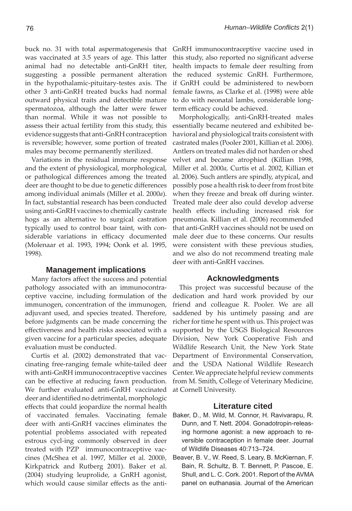buck no. 31 with total aspermatogenesis that was vaccinated at 3.5 years of age. This latter animal had no detectable anti-GnRH titer, suggesting a possible permanent alteration in the hypothalamic-pituitary-testes axis. The other 3 anti-GnRH treated bucks had normal outward physical traits and detectible mature spermatozoa, although the latter were fewer than normal. While it was not possible to assess their actual fertility from this study, this evidence suggests that anti-GnRH contraception is reversible; however, some portion of treated males may become permanently sterilized.

Variations in the residual immune response and the extent of physiological, morphological, or pathological differences among the treated deer are thought to be due to genetic differences among individual animals (Miller et al. 2000*a*). In fact, substantial research has been conducted using anti-GnRH vaccines to chemically castrate hogs as an alternative to surgical castration typically used to control boar taint, with considerable variations in efficacy documented (Molenaar et al. 1993, 1994; Oonk et al. 1995, 1998).

# **Management implications**

Many factors affect the success and potential pathology associated with an immunocontraceptive vaccine, including formulation of the immunogen, concentration of the immunogen, adjuvant used, and species treated. Therefore, before judgments can be made concerning the effectiveness and health risks associated with a given vaccine for a particular species, adequate evaluation must be conducted.

Curtis et al. (2002) demonstrated that vaccinating free-ranging female white-tailed deer with anti-GnRH immunocontraceptive vaccines can be effective at reducing fawn production. We further evaluated anti-GnRH vaccinated deer and identified no detrimental, morphologic effects that could jeopardize the normal health of vaccinated females. Vaccinating female deer with anti-GnRH vaccines eliminates the potential problems associated with repeated estrous cycl-ing commonly observed in deer treated with PZP immunocontraceptive vaccines (McShea et al. 1997, Miller et al. 2000*b,*  Kirkpatrick and Rutberg 2001). Baker et al. (2004) studying leuprolide, a GnRH agonist, which would cause similar effects as the antiGnRH immunocontraceptive vaccine used in this study, also reported no significant adverse health impacts to female deer resulting from the reduced systemic GnRH. Furthermore, if GnRH could be administered to newborn female fawns, as Clarke et al. (1998) were able to do with neonatal lambs, considerable longterm efficacy could be achieved.

Morphologically, anti-GnRH-treated males essentially became neutered and exhibited behavioral and physiological traits consistent with castrated males (Pooler 2001, Killian et al. 2006). Antlers on treated males did not harden or shed velvet and became atrophied (Killian 1998, Miller et al. 2000*a,* Curtis et al. 2002, Killian et al. 2006). Such antlers are spindly, atypical, and possibly pose a health risk to deer from frost bite when they freeze and break off during winter. Treated male deer also could develop adverse health effects including increased risk for pneumonia. Killian et al. (2006) recommended that anti-GnRH vaccines should not be used on male deer due to these concerns. Our results were consistent with these previous studies, and we also do not recommend treating male deer with anti-GnRH vaccines.

# **Acknowledgments**

This project was successful because of the dedication and hard work provided by our friend and colleague R. Pooler. We are all saddened by his untimely passing and are richer for time he spent with us. This project was supported by the USGS Biological Resources Division, New York Cooperative Fish and Wildlife Research Unit, the New York State Department of Environmental Conservation, and the USDA National Wildlife Research Center. We appreciate helpful review comments from M. Smith, College of Veterinary Medicine, at Cornell University.

# **Literature cited**

- Baker, D., M. Wild, M. Connor, H. Ravivarapu, R. Dunn, and T. Nett. 2004. Gonadotropin-releasing hormone agonist: a new approach to reversible contraception in female deer. Journal of Wildlife Diseases 40:713–724.
- Beaver, B. V., W. Reed, S. Leary, B. McKiernan, F. Bain, R. Schultz, B. T. Bennett, P. Pascoe, E. Shull, and L. C. Cork. 2001. Report of the AVMA panel on euthanasia. Journal of the American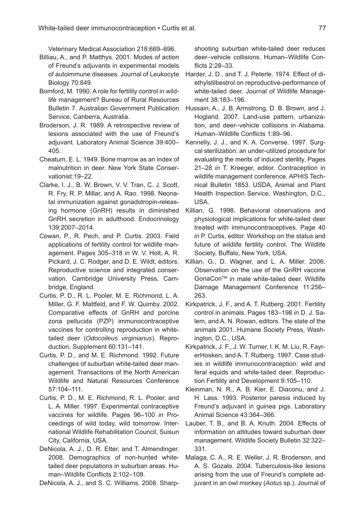Veterinary Medical Association 218:669–696.

- Billiau, A., and P. Matthys. 2001. Modes of action of Freund's adjuvants in experimental models of autoimmune diseases. Journal of Leukocyte Biology 70:849.
- Bomford, M. 1990. A role for fertility control in wildlife management? Bureau of Rural Resources Bulletin 7. Australian Government Publication Service, Canberra, Australia.
- Broderson, J. R. 1989. A retrospective review of lesions associated with the use of Freund's adjuvant. Laboratory Animal Science 39:400– 405.
- Cheatum, E. L. 1949. Bone marrow as an index of malnutrition in deer. New York State Conservationist:19–22.
- Clarke, I. J., B. W. Brown, V. V. Tran, C. J. Scott, R. Fry, R. P. Millar, and A. Rao. 1998. Neonatal immunization against gonadotropin-releasing hormone (GnRH) results in diminished GnRH secretion in adulthood. Endocrinology 139:2007–2014.
- Cowan, P., R. Pech, and P. Curtis. 2003. Field applications of fertility control for wildlife management. Pages 305–318 *in* W. V. Holt, A. R. Pickard, J. C. Rodger, and D. E. Wildt, editors. Reproductive science and integrated conservation. Cambridge University Press, Cambridge, England.
- Curtis, P. D., R. L. Pooler, M. E. Richmond, L. A. Miller, G. F. Mattfeld, and F. W. Quimby. 2002. Comparative effects of GnRH and porcine zona pellucida (PZP) immunocontraceptive vaccines for controlling reproduction in whitetailed deer (*Odocoileus virginianus*). Reproduction, Supplement 60:131–141.
- Curtis, P. D., and M. E. Richmond. 1992. Future challenges of suburban white-tailed deer management. Transactions of the North American Wildlife and Natural Resources Conference 57:104–111.
- Curtis, P. D., M. E. Richmond, R. L. Pooler, and L. A. Miller. 1997. Experimental contraceptive vaccines for wildlife. Pages 96–100 *in* Proceedings of wild today, wild tomorrow. International Wildlife Rehabilitation Council, Suisun City, California, USA.
- DeNicola, A. J., D. R. Etter, and T. Almendinger. 2008. Demographics of non-hunted whitetailed deer populations in suburban areas. Human–Wildlife Conflicts 2:102–109.

DeNicola, A. J., and S. C. Williams. 2008. Sharp-

shooting suburban white-tailed deer reduces deer–vehicle collisions. Human–Wildlife Conflicts 2:28-33.

- Harder, J. D., and T. J. Peterle. 1974. Effect of diethylstilbestrol on reproductive-performance of white-tailed deer. Journal of Wildlife Management 38:183–196.
- Hussain, A., J. B. Armstrong, D. B. Brown, and J. Hogland. 2007. Land-use pattern, urbanization, and deer–vehicle collisions in Alabama. Human–Wildlife Conflicts 1:89–96.
- Kennelly, J. J., and K. A. Converse. 1997. Surgcal sterilization: an under-utilized procedure for evaluating the merits of induced sterility. Pages 21–28 *in* T. Kreeger, editor. Contraception in wildlife management conference. APHIS Technical Bulletin 1853. USDA, Animal and Plant Health Inspection Service, Washington, D.C., USA.
- Killian, G. 1998. Behavioral observations and physiological implications for white-tailed deer treated with immunocontraceptives. Page 40 *in* P. Curtis, editor. Workshop on the status and future of wildlife fertility control. The Wildlife Society, Buffalo, New York, USA.
- Killian, G., D. Wagner, and L. A. Miller. 2006. Observation on the use of the GnRH vaccine GonaConTM in male white-tailed deer. Wildlife Damage Management Conference 11:256– 263.
- Kirkpatrick, J. F., and A. T. Rutberg. 2001. Fertility control in animals. Pages 183–198 *in* D. J. Salem, and A. N. Rowan, editors. The state of the animals 2001. Humane Society Press, Washington, D.C., USA.
- Kirkpatrick, J. F., J. W. Turner, I. K. M. Liu, R. FayrerHosken, and A. T. Rutberg. 1997. Case studies in wildlife immunocontraception: wild and feral equids and white-tailed deer. Reproduction Fertility and Development 9:105–110.
- Kleinman, N. R., A. B. Kier, E. Diaconu, and J. H. Lass. 1993. Posterior paresis induced by Freund's adjuvant in guinea pigs. Laboratory Animal Science 43:364–366.
- Lauber, T. B., and B. A. Knuth. 2004. Effects of information on attitudes toward suburban deer management. Wildlife Society Bulletin 32:322– 331.
- Malaga, C. A., R. E. Weller, J. R. Broderson, and A. S. Gozalo. 2004. Tuberculosis-like lesions arising from the use of Freund's complete adjuvant in an owl monkey (*Aotus* sp.). Journal of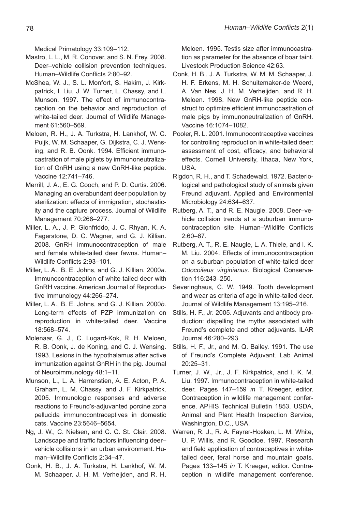Medical Primatology 33:109–112.

- Mastro, L. L., M. R. Conover, and S. N. Frey. 2008. Deer–vehicle collision prevention techniques. Human–Wildlife Conflicts 2:80–92.
- McShea, W. J., S. L. Monfort, S. Hakim, J. Kirkpatrick, I. Liu, J. W. Turner, L. Chassy, and L. Munson. 1997. The effect of immunocontraception on the behavior and reproduction of white-tailed deer. Journal of Wildlife Management 61:560–569.
- Meloen, R. H., J. A. Turkstra, H. Lankhof, W. C. Puijk, W. M. Schaaper, G. Dijkstra, C. J. Wensing, and R. B. Oonk. 1994. Efficient immunocastration of male piglets by immunoneutralization of GnRH using a new GnRH-like peptide. Vaccine 12:741–746.
- Merrill, J. A., E. G. Cooch, and P. D. Curtis. 2006. Managing an overabundant deer population by sterilization: effects of immigration, stochasticity and the capture process. Journal of Wildlife Management 70:268–277.
- Miller, L. A., J. P. Gionfriddo, J. C. Rhyan, K. A. Fagerstone, D. C. Wagner, and G. J. Killian. 2008. GnRH immunocontraception of male and female white-tailed deer fawns. Human– Wildlife Conflicts 2:93-101.
- Miller, L. A., B. E. Johns, and G. J. Killian. 2000*a*. Immunocontraception of white-tailed deer with GnRH vaccine. American Journal of Reproductive Immunology 44:266–274.
- Miller, L. A., B. E. Johns, and G. J. Killian. 2000*b*. Long-term effects of PZP immunization on reproduction in white-tailed deer. Vaccine 18:568–574.
- Molenaar, G. J., C. Lugard-Kok, R. H. Meloen, R. B. Oonk, J. de Koning, and C. J. Wensing. 1993. Lesions in the hypothalamus after active immunization against GnRH in the pig. Journal of Neuroimmunology 48:1–11.
- Munson, L., L. A. Harrenstien, A. E. Acton, P. A. Graham, L. M. Chassy, and J. F. Kirkpatrick. 2005. Immunologic responses and adverse reactions to Freund's-adjuvanted porcine zona pellucida immunocontraceptives in domestic cats. Vaccine 23:5646–5654.
- Ng, J. W., C. Nielsen, and C. C. St. Clair. 2008. Landscape and traffic factors influencing deervehicle collisions in an urban environment. Human–Wildlife Conflicts 2:34–47.
- Oonk, H. B., J. A. Turkstra, H. Lankhof, W. M. M. Schaaper, J. H. M. Verheijden, and R. H.

Meloen. 1995. Testis size after immunocastration as parameter for the absence of boar taint. Livestock Production Science 42:63.

- Oonk, H. B., J. A. Turkstra, W. M. M. Schaaper, J. H. F. Erkens, M. H. Schuitemaker-de Weerd, A. Van Nes, J. H. M. Verheijden, and R. H. Meloen. 1998. New GnRH-like peptide construct to optimize efficient immunocastration of male pigs by immunoneutralization of GnRH. Vaccine 16:1074–1082.
- Pooler, R. L. 2001. Immunocontraceptive vaccines for controlling reproduction in white-tailed deer: assessment of cost, efficacy, and behavioral effects. Cornell University, Ithaca, New York, USA.
- Rigdon, R. H., and T. Schadewald. 1972. Bacteriological and pathological study of animals given Freund adjuvant. Applied and Environmental Microbiology 24:634–637.
- Rutberg, A. T., and R. E. Naugle. 2008. Deer–vehicle collision trends at a suburban immunocontraception site. Human–Wildlife Conflicts 2:60–67.
- Rutberg, A. T., R. E. Naugle, L. A. Thiele, and I. K. M. Liu. 2004. Effects of immunocontraception on a suburban population of white-tailed deer *Odocoileus virginianus*. Biological Conservation 116:243–250.
- Severinghaus, C. W. 1949. Tooth development and wear as criteria of age in white-tailed deer. Journal of Wildlife Management 13:195–216.
- Stills, H. F., Jr. 2005. Adjuvants and antibody production: dispelling the myths associated with Freund's complete and other adjuvants. ILAR Journal 46:280–293.
- Stills, H. F., Jr., and M. Q. Bailey. 1991. The use of Freund's Complete Adjuvant. Lab Animal 20:25–31.
- Turner, J. W., Jr., J. F. Kirkpatrick, and I. K. M. Liu. 1997. Immunocontraception in white-tailed deer. Pages 147–159 *in* T. Kreeger, editor. Contraception in wildlife management conference. APHIS Technical Bulletin 1853. USDA, Animal and Plant Health Inspection Service, Washington, D.C., USA.
- Warren, R. J., R. A. Fayrer-Hosken, L. M. White, U. P. Willis, and R. Goodloe. 1997. Research and field application of contraceptives in whitetailed deer, feral horse and mountain goats. Pages 133–145 *in* T. Kreeger, editor. Contraception in wildlife management conference.